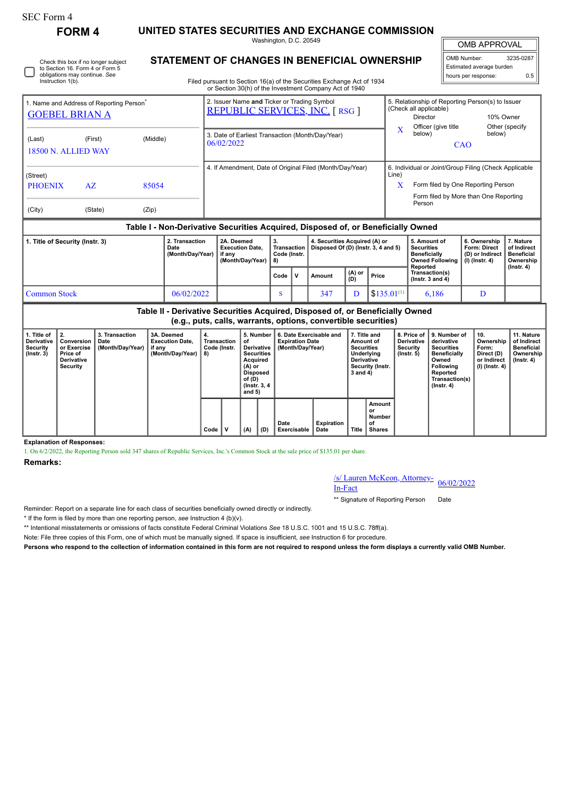## SEC Form 4

Instruction 1(b).

**FORM 4 UNITED STATES SECURITIES AND EXCHANGE COMMISSION**

Washington, D.C. 20549

OMB APPROVAL

OMB Number: 3235-0287 Estimated average burden hours per response: 0.5

| Check this box if no longer subject<br>to Section 16. Form 4 or Form 5 | STATEMENT OF CHANGES IN BENEFICIAL OWNERSHIP |  |
|------------------------------------------------------------------------|----------------------------------------------|--|
| obligations may continue. See                                          |                                              |  |

Filed pursuant to Section 16(a) of the Securities Exchange Act of 1934 or Section 30(h) of the Investment Company Act of 1940

|                                                                                  |         |          |                        |                                                                                      |    | or occion company or and invocanion company not or to to                           |       |                                                                                                               |                                     |                          |  |
|----------------------------------------------------------------------------------|---------|----------|------------------------|--------------------------------------------------------------------------------------|----|------------------------------------------------------------------------------------|-------|---------------------------------------------------------------------------------------------------------------|-------------------------------------|--------------------------|--|
| 1. Name and Address of Reporting Person <sup>®</sup><br><b>GOEBEL BRIAN A</b>    |         |          |                        | 2. Issuer Name and Ticker or Trading Symbol<br><b>REPUBLIC SERVICES, INC. [RSG ]</b> |    |                                                                                    |       | 5. Relationship of Reporting Person(s) to Issuer<br>(Check all applicable)<br>Director<br>Officer (give title | 10% Owner                           | Other (specify)          |  |
| (Last)<br>18500 N. ALLIED WAY                                                    | (First) | (Middle) |                        | 3. Date of Earliest Transaction (Month/Day/Year)<br>06/02/2022                       |    |                                                                                    | X     | below)                                                                                                        |                                     |                          |  |
| (Street)                                                                         |         |          |                        |                                                                                      |    | 4. If Amendment, Date of Original Filed (Month/Day/Year)                           | Line) | 6. Individual or Joint/Group Filing (Check Applicable                                                         |                                     |                          |  |
| <b>PHOENIX</b>                                                                   | AZ      | 85054    |                        |                                                                                      |    |                                                                                    | x     | Form filed by One Reporting Person                                                                            |                                     |                          |  |
| (City)                                                                           | (State) | (Zip)    |                        |                                                                                      |    |                                                                                    |       | Form filed by More than One Reporting<br>Person                                                               |                                     |                          |  |
| Table I - Non-Derivative Securities Acquired, Disposed of, or Beneficially Owned |         |          |                        |                                                                                      |    |                                                                                    |       |                                                                                                               |                                     |                          |  |
| 1. Title of Security (Instr. 3)                                                  |         |          | 2. Transaction<br>Date | 2A. Deemed<br><b>Execution Date.</b>                                                 | 3. | 4. Securities Acquired (A) or<br>Transaction   Disposed Of (D) (Instr. 3, 4 and 5) |       | 5. Amount of<br><b>Securities</b>                                                                             | 6. Ownership<br><b>Form: Direct</b> | 7. Nature<br>of Indirect |  |

|              | Date<br>Execution Date.<br>(Month/Day/Year)<br>if anv<br>(Month/Dav/Year) |  | Code (Instr.<br>-8) |  | $\lceil \text{ransacmon} \rceil$ Disposed Or (D) (instr. 3, 4 and 5) |                 |                         | securities<br><b>Beneficially</b><br>Owned Following  <br>Reported | ronn: Direct<br>l (D) or Indirect<br>  (I) (Instr. 4) | or mairect<br><b>Beneficial</b><br>Ownership<br>$($ lnstr. 4 $)$ |
|--------------|---------------------------------------------------------------------------|--|---------------------|--|----------------------------------------------------------------------|-----------------|-------------------------|--------------------------------------------------------------------|-------------------------------------------------------|------------------------------------------------------------------|
|              |                                                                           |  | Code                |  | Amount                                                               | $(A)$ or<br>(D) | Price                   | Transaction(s)<br>( $lnstr. 3 and 4$ )                             |                                                       |                                                                  |
| Common Stock | 06/02/2022                                                                |  |                     |  | 347                                                                  |                 | $1$ \$135.01 $^{(1)}$ ; | 6.186                                                              |                                                       |                                                                  |

**Table II - Derivative Securities Acquired, Disposed of, or Beneficially Owned (e.g., puts, calls, warrants, options, convertible securities)**

| 1. Title of<br>Derivative<br>Security<br>$($ lnstr. 3 $)$ | I 2.<br>Conversion<br>or Exercise<br>Price of<br>Derivative<br>Security | 3. Transaction<br>Date<br>(Month/Day/Year) | 3A. Deemed<br><b>Execution Date,</b><br>if any<br>(Month/Day/Year) | 4.<br>Transaction<br>Code (Instr.<br>8) |              | 5. Number<br>οf<br>Derivative<br><b>Securities</b><br>Acquired<br>(A) or<br>Disposed<br>of (D)<br>$($ lnstr. 3, 4 |  | 6. Date Exercisable and<br><b>Expiration Date</b><br>(Month/Dav/Year) |                           | 7. Title and<br>Amount of<br><b>Securities</b><br>Underlying<br><b>Derivative</b><br>Security (Instr.<br>3 and 4) |                                               | <b>Derivative</b><br>Security<br>$($ lnstr. 5 $)$ | 8. Price of 19. Number of<br>derivative<br><b>Securities</b><br><b>Beneficially</b><br>Owned<br><b>Following</b><br>Reported<br>Transaction(s)<br>(Instr. 4) | ່ 10.<br>Ownership<br>Form:<br>Direct (D)<br>or Indirect<br>  (I) (Instr. 4) | 11. Nature<br>of Indirect<br><b>Beneficial</b><br>Ownership<br>(Instr. 4) |
|-----------------------------------------------------------|-------------------------------------------------------------------------|--------------------------------------------|--------------------------------------------------------------------|-----------------------------------------|--------------|-------------------------------------------------------------------------------------------------------------------|--|-----------------------------------------------------------------------|---------------------------|-------------------------------------------------------------------------------------------------------------------|-----------------------------------------------|---------------------------------------------------|--------------------------------------------------------------------------------------------------------------------------------------------------------------|------------------------------------------------------------------------------|---------------------------------------------------------------------------|
|                                                           |                                                                         |                                            |                                                                    | Code                                    | $\mathbf{v}$ | and 5)<br>(A)<br>(D)                                                                                              |  | Date<br>Exercisable                                                   | <b>Expiration</b><br>Date | <b>Title</b>                                                                                                      | Amount<br>or<br>Number<br>of<br><b>Shares</b> |                                                   |                                                                                                                                                              |                                                                              |                                                                           |

**Explanation of Responses:**

1. On 6/2/2022, the Reporting Person sold 347 shares of Republic Services, Inc.'s Common Stock at the sale price of \$135.01 per share.

**Remarks:**

## /s/ Lauren McKeon, Attorney-<br>In-Fact

\*\* Signature of Reporting Person Date

Reminder: Report on a separate line for each class of securities beneficially owned directly or indirectly.

\* If the form is filed by more than one reporting person, *see* Instruction 4 (b)(v).

\*\* Intentional misstatements or omissions of facts constitute Federal Criminal Violations *See* 18 U.S.C. 1001 and 15 U.S.C. 78ff(a).

Note: File three copies of this Form, one of which must be manually signed. If space is insufficient, *see* Instruction 6 for procedure.

**Persons who respond to the collection of information contained in this form are not required to respond unless the form displays a currently valid OMB Number.**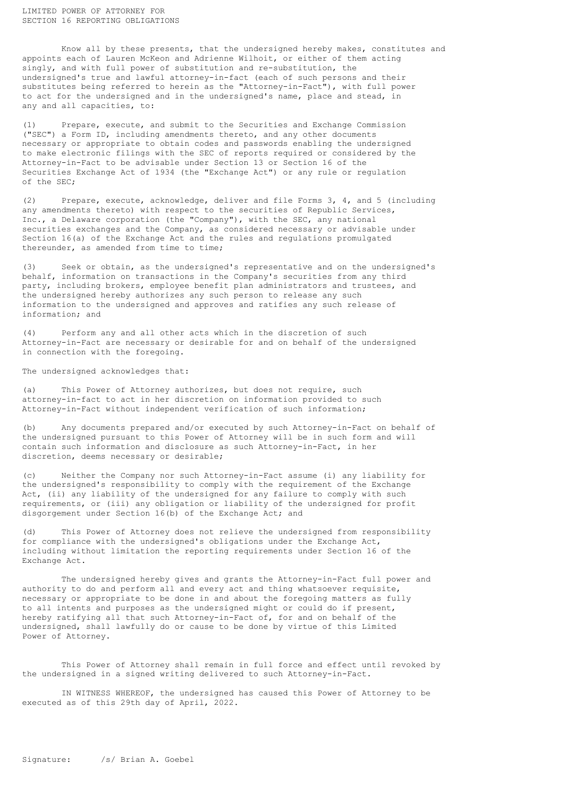Know all by these presents, that the undersigned hereby makes, constitutes and appoints each of Lauren McKeon and Adrienne Wilhoit, or either of them acting singly, and with full power of substitution and re-substitution, the undersigned's true and lawful attorney-in-fact (each of such persons and their substitutes being referred to herein as the "Attorney-in-Fact"), with full power to act for the undersigned and in the undersigned's name, place and stead, in any and all capacities, to:

(1) Prepare, execute, and submit to the Securities and Exchange Commission ("SEC") a Form ID, including amendments thereto, and any other documents necessary or appropriate to obtain codes and passwords enabling the undersigned to make electronic filings with the SEC of reports required or considered by the Attorney-in-Fact to be advisable under Section 13 or Section 16 of the Securities Exchange Act of 1934 (the "Exchange Act") or any rule or regulation of the SEC;

(2) Prepare, execute, acknowledge, deliver and file Forms 3, 4, and 5 (including any amendments thereto) with respect to the securities of Republic Services, Inc., a Delaware corporation (the "Company"), with the SEC, any national securities exchanges and the Company, as considered necessary or advisable under Section 16(a) of the Exchange Act and the rules and regulations promulgated thereunder, as amended from time to time;

(3) Seek or obtain, as the undersigned's representative and on the undersigned's behalf, information on transactions in the Company's securities from any third party, including brokers, employee benefit plan administrators and trustees, and the undersigned hereby authorizes any such person to release any such information to the undersigned and approves and ratifies any such release of information; and

(4) Perform any and all other acts which in the discretion of such Attorney-in-Fact are necessary or desirable for and on behalf of the undersigned in connection with the foregoing.

The undersigned acknowledges that:

(a) This Power of Attorney authorizes, but does not require, such attorney-in-fact to act in her discretion on information provided to such Attorney-in-Fact without independent verification of such information;

(b) Any documents prepared and/or executed by such Attorney-in-Fact on behalf of the undersigned pursuant to this Power of Attorney will be in such form and will contain such information and disclosure as such Attorney-in-Fact, in her discretion, deems necessary or desirable;

(c) Neither the Company nor such Attorney-in-Fact assume (i) any liability for the undersigned's responsibility to comply with the requirement of the Exchange Act, (ii) any liability of the undersigned for any failure to comply with such requirements, or (iii) any obligation or liability of the undersigned for profit disgorgement under Section 16(b) of the Exchange Act; and

This Power of Attorney does not relieve the undersigned from responsibility for compliance with the undersigned's obligations under the Exchange Act, including without limitation the reporting requirements under Section 16 of the Exchange Act.

The undersigned hereby gives and grants the Attorney-in-Fact full power and authority to do and perform all and every act and thing whatsoever requisite, necessary or appropriate to be done in and about the foregoing matters as fully to all intents and purposes as the undersigned might or could do if present, hereby ratifying all that such Attorney-in-Fact of, for and on behalf of the undersigned, shall lawfully do or cause to be done by virtue of this Limited Power of Attorney.

This Power of Attorney shall remain in full force and effect until revoked by the undersigned in a signed writing delivered to such Attorney-in-Fact.

IN WITNESS WHEREOF, the undersigned has caused this Power of Attorney to be executed as of this 29th day of April, 2022.